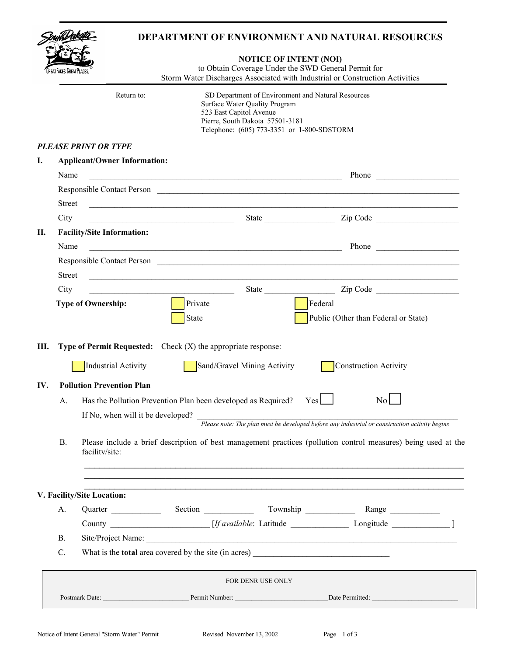|               |                             |                                     |                                                                                                                      | <b>NOTICE OF INTENT (NOI)</b><br>to Obtain Coverage Under the SWD General Permit for                                                                                                            | Storm Water Discharges Associated with Industrial or Construction Activities                                                                                                                                                                                                  |
|---------------|-----------------------------|-------------------------------------|----------------------------------------------------------------------------------------------------------------------|-------------------------------------------------------------------------------------------------------------------------------------------------------------------------------------------------|-------------------------------------------------------------------------------------------------------------------------------------------------------------------------------------------------------------------------------------------------------------------------------|
|               |                             | Return to:                          |                                                                                                                      | SD Department of Environment and Natural Resources<br>Surface Water Quality Program<br>523 East Capitol Avenue<br>Pierre, South Dakota 57501-3181<br>Telephone: (605) 773-3351 or 1-800-SDSTORM |                                                                                                                                                                                                                                                                               |
|               | <b>PLEASE PRINT OR TYPE</b> |                                     |                                                                                                                      |                                                                                                                                                                                                 |                                                                                                                                                                                                                                                                               |
|               |                             | <b>Applicant/Owner Information:</b> |                                                                                                                      |                                                                                                                                                                                                 |                                                                                                                                                                                                                                                                               |
| Name          |                             |                                     | <u> 2000 - Jan James James Barnett, amerikan basar pada 1990 - periodisyon dan periodisyon atau periodisyon atau</u> |                                                                                                                                                                                                 |                                                                                                                                                                                                                                                                               |
|               |                             |                                     |                                                                                                                      |                                                                                                                                                                                                 | Responsible Contact Person                                                                                                                                                                                                                                                    |
| <b>Street</b> |                             |                                     | <u> 1989 - Johann John Stone, mars and deutscher Stone († 1989)</u>                                                  |                                                                                                                                                                                                 |                                                                                                                                                                                                                                                                               |
| City          |                             |                                     | <u> 2002 - Jan James James Barnett, amerikansk politik (d. 1882)</u>                                                 |                                                                                                                                                                                                 | State <u>Collaction</u> Zip Code <u>Collaction</u> Zip Code                                                                                                                                                                                                                   |
| Name          |                             | <b>Facility/Site Information:</b>   |                                                                                                                      |                                                                                                                                                                                                 |                                                                                                                                                                                                                                                                               |
|               |                             |                                     | <u> 1989 - Johann Barn, fransk politik (f. 1989)</u>                                                                 |                                                                                                                                                                                                 | Phone<br>Responsible Contact Person                                                                                                                                                                                                                                           |
| <b>Street</b> |                             |                                     |                                                                                                                      |                                                                                                                                                                                                 |                                                                                                                                                                                                                                                                               |
| City          |                             |                                     |                                                                                                                      |                                                                                                                                                                                                 |                                                                                                                                                                                                                                                                               |
|               | <b>Type of Ownership:</b>   |                                     | Private<br><b>State</b>                                                                                              |                                                                                                                                                                                                 | Federal<br>Public (Other than Federal or State)                                                                                                                                                                                                                               |
|               |                             |                                     | <b>Type of Permit Requested:</b> Check $(X)$ the appropriate response:                                               |                                                                                                                                                                                                 |                                                                                                                                                                                                                                                                               |
|               |                             | Industrial Activity                 |                                                                                                                      | Sand/Gravel Mining Activity                                                                                                                                                                     | Construction Activity                                                                                                                                                                                                                                                         |
|               |                             | <b>Pollution Prevention Plan</b>    |                                                                                                                      |                                                                                                                                                                                                 |                                                                                                                                                                                                                                                                               |
| A.            |                             |                                     | Has the Pollution Prevention Plan been developed as Required?                                                        |                                                                                                                                                                                                 | Yes<br>$\overline{N}$ o                                                                                                                                                                                                                                                       |
| Ш.<br>IV.     |                             |                                     |                                                                                                                      |                                                                                                                                                                                                 |                                                                                                                                                                                                                                                                               |
| <b>B.</b>     | facility/site:              |                                     |                                                                                                                      |                                                                                                                                                                                                 | If No, when will it be developed? $\frac{1}{\frac{P}{\text{Please note: The plan must be developed before any industrial or construction activity begins}}$<br>Please include a brief description of best management practices (pollution control measures) being used at the |
|               | V. Facility/Site Location:  |                                     |                                                                                                                      |                                                                                                                                                                                                 |                                                                                                                                                                                                                                                                               |
| А.            |                             | Quarter                             |                                                                                                                      |                                                                                                                                                                                                 |                                                                                                                                                                                                                                                                               |
|               |                             |                                     |                                                                                                                      |                                                                                                                                                                                                 | County _______________________ [If available: Latitude ___________________ Longitude ______________ ]                                                                                                                                                                         |
| <b>B.</b>     |                             |                                     |                                                                                                                      |                                                                                                                                                                                                 | Site/Project Name:                                                                                                                                                                                                                                                            |
| C.            |                             |                                     |                                                                                                                      |                                                                                                                                                                                                 | What is the <b>total</b> area covered by the site (in acres)                                                                                                                                                                                                                  |
|               |                             |                                     |                                                                                                                      | <b>FOR DENR USE ONLY</b>                                                                                                                                                                        |                                                                                                                                                                                                                                                                               |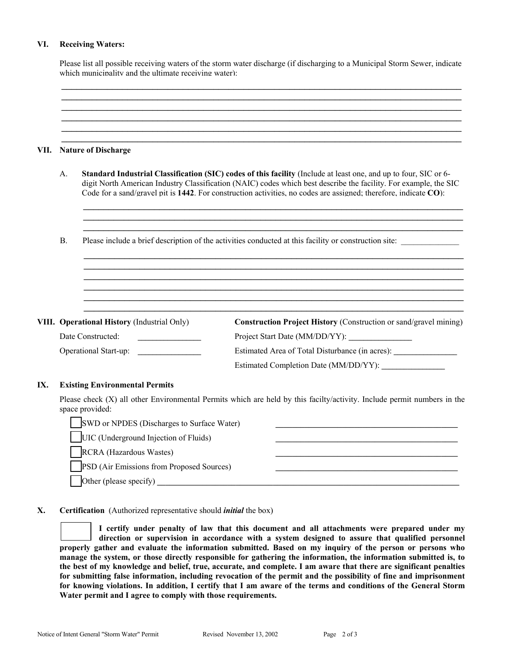### **VI. Receiving Waters:**

Please list all possible receiving waters of the storm water discharge (if discharging to a Municipal Storm Sewer, indicate which municipality and the ultimate receiving water):

\_\_\_\_\_\_\_\_\_\_\_\_\_\_\_\_\_\_\_\_\_\_\_\_\_\_\_\_\_\_\_\_\_\_\_\_\_\_\_\_\_\_\_\_\_\_\_\_\_\_\_\_\_\_\_\_\_\_\_\_\_\_\_\_\_\_\_\_\_\_\_\_\_\_\_\_\_\_\_

|  |                | <b>Nature of Discharge</b>                                                                                                                                                                                                                                                                                                                               |                                                                                  |  |  |  |  |  |
|--|----------------|----------------------------------------------------------------------------------------------------------------------------------------------------------------------------------------------------------------------------------------------------------------------------------------------------------------------------------------------------------|----------------------------------------------------------------------------------|--|--|--|--|--|
|  | A <sub>1</sub> | Standard Industrial Classification (SIC) codes of this facility (Include at least one, and up to four, SIC or 6-<br>digit North American Industry Classification (NAIC) codes which best describe the facility. For example, the SIC<br>Code for a sand/gravel pit is 1442. For construction activities, no codes are assigned; therefore, indicate CO): |                                                                                  |  |  |  |  |  |
|  | $\mathbf{B}$ . | Please include a brief description of the activities conducted at this facility or construction site:                                                                                                                                                                                                                                                    |                                                                                  |  |  |  |  |  |
|  |                |                                                                                                                                                                                                                                                                                                                                                          |                                                                                  |  |  |  |  |  |
|  |                |                                                                                                                                                                                                                                                                                                                                                          |                                                                                  |  |  |  |  |  |
|  |                | VIII. Operational History (Industrial Only)<br>Date Constructed:                                                                                                                                                                                                                                                                                         | Construction Project History (Construction or sand/gravel mining)                |  |  |  |  |  |
|  |                | Operational Start-up:                                                                                                                                                                                                                                                                                                                                    | Estimated Area of Total Disturbance (in acres): ________________________________ |  |  |  |  |  |

| SWD or NPDES (Discharges to Surface Water)       |  |
|--------------------------------------------------|--|
| UIC (Underground Injection of Fluids)            |  |
| <b>RCRA</b> (Hazardous Wastes)                   |  |
| <b>PSD</b> (Air Emissions from Proposed Sources) |  |
| Other (please specify)                           |  |

### **X. Certification** (Authorized representative should *initial* the box)

**I certify under penalty of law that this document and all attachments were prepared under my direction or supervision in accordance with a system designed to assure that qualified personnel properly gather and evaluate the information submitted. Based on my inquiry of the person or persons who manage the system, or those directly responsible for gathering the information, the information submitted is, to the best of my knowledge and belief, true, accurate, and complete. I am aware that there are significant penalties for submitting false information, including revocation of the permit and the possibility of fine and imprisonment for knowing violations. In addition, I certify that I am aware of the terms and conditions of the General Storm Water permit and I agree to comply with those requirements.**